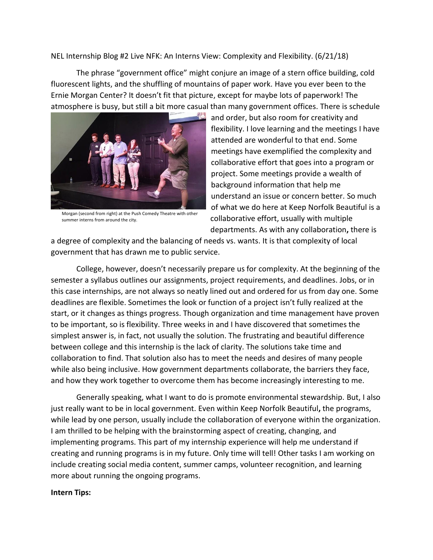NEL Internship Blog #2 Live NFK: An Interns View: Complexity and Flexibility. (6/21/18)

The phrase "government office" might conjure an image of a stern office building, cold fluorescent lights, and the shuffling of mountains of paper work. Have you ever been to the Ernie Morgan Center? It doesn't fit that picture, except for maybe lots of paperwork! The atmosphere is busy, but still a bit more casual than many government offices. There is schedule



Morgan (second from right) at the Push Comedy Theatre with other summer interns from around the city.

and order, but also room for creativity and flexibility. I love learning and the meetings I have attended are wonderful to that end. Some meetings have exemplified the complexity and collaborative effort that goes into a program or project. Some meetings provide a wealth of background information that help me understand an issue or concern better. So much of what we do here at Keep Norfolk Beautiful is a collaborative effort, usually with multiple departments. As with any collaboration**,** there is

a degree of complexity and the balancing of needs vs. wants. It is that complexity of local government that has drawn me to public service.

College, however, doesn't necessarily prepare us for complexity. At the beginning of the semester a syllabus outlines our assignments, project requirements, and deadlines. Jobs, or in this case internships, are not always so neatly lined out and ordered for us from day one. Some deadlines are flexible. Sometimes the look or function of a project isn't fully realized at the start, or it changes as things progress. Though organization and time management have proven to be important, so is flexibility. Three weeks in and I have discovered that sometimes the simplest answer is, in fact, not usually the solution. The frustrating and beautiful difference between college and this internship is the lack of clarity. The solutions take time and collaboration to find. That solution also has to meet the needs and desires of many people while also being inclusive. How government departments collaborate, the barriers they face, and how they work together to overcome them has become increasingly interesting to me.

Generally speaking, what I want to do is promote environmental stewardship. But, I also just really want to be in local government. Even within Keep Norfolk Beautiful**,** the programs, while lead by one person, usually include the collaboration of everyone within the organization. I am thrilled to be helping with the brainstorming aspect of creating, changing, and implementing programs. This part of my internship experience will help me understand if creating and running programs is in my future. Only time will tell! Other tasks I am working on include creating social media content, summer camps, volunteer recognition, and learning more about running the ongoing programs.

## **Intern Tips:**